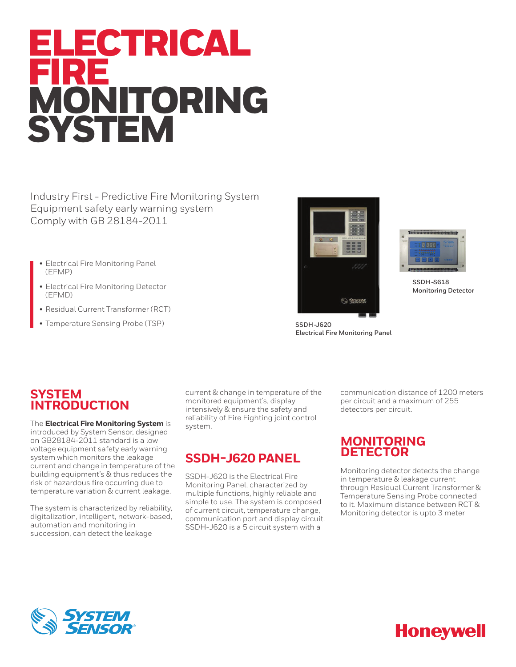# ELECTRICAL FIRE MONITORING **SYSTEM**

Industry First - Predictive Fire Monitoring System Equipment safety early warning system Comply with GB 28184-2011

- Electrical Fire Monitoring Panel (EFMP)
- Electrical Fire Monitoring Detector (EFMD)
- Residual Current Transformer (RCT)
- Temperature Sensing Probe (TSP)





**SSDH-S618 Monitoring Detector**

**SSDH-J620 Electrical Fire Monitoring Panel**

### **SYSTEM INTRODUCTION**

The **Electrical Fire Monitoring System** is introduced by System Sensor, designed on GB28184-2011 standard is a low voltage equipment safety early warning system which monitors the leakage current and change in temperature of the building equipment's & thus reduces the risk of hazardous fire occurring due to temperature variation & current leakage.

The system is characterized by reliability, digitalization, intelligent, network-based, automation and monitoring in succession, can detect the leakage

current & change in temperature of the monitored equipment's, display intensively & ensure the safety and reliability of Fire Fighting joint control system.

### **SSDH-J620 PANEL**

SSDH-J620 is the Electrical Fire Monitoring Panel, characterized by multiple functions, highly reliable and simple to use. The system is composed of current circuit, temperature change, communication port and display circuit. SSDH-J620 is a 5 circuit system with a

communication distance of 1200 meters per circuit and a maximum of 255 detectors per circuit.

### **MONITORING DETECTOR**

Monitoring detector detects the change in temperature & leakage current through Residual Current Transformer & Temperature Sensing Probe connected to it. Maximum distance between RCT & Monitoring detector is upto 3 meter



## **Honeywell**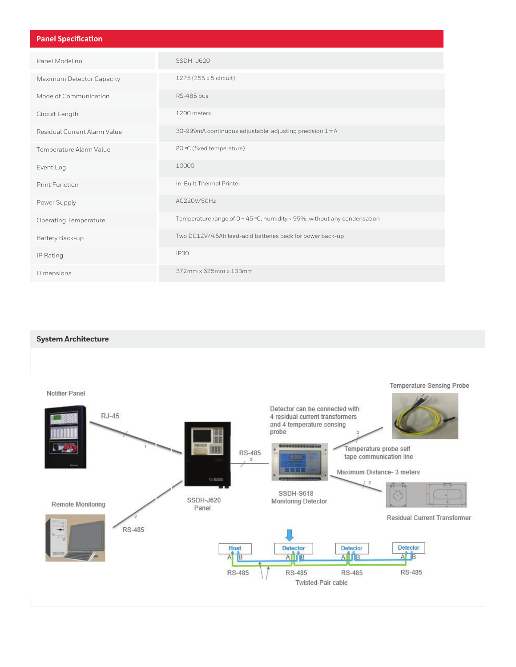| <b>Panel Specification</b>   |                                                                               |
|------------------------------|-------------------------------------------------------------------------------|
| Panel Model no               | SSDH-J620                                                                     |
| Maximum Detector Capacity    | 1275 (255 x 5 circuit)                                                        |
| Mode of Communication        | <b>RS-485 bus</b>                                                             |
| Circuit Length               | 1200 meters                                                                   |
| Residual Current Alarm Value | 30-999mA continuous adjustable: adjusting precision 1mA                       |
| Temperature Alarm Value      | 80 °C (fixed temperature)                                                     |
| Event Log                    | 10000                                                                         |
| <b>Print Function</b>        | In-Built Thermal Printer                                                      |
| Power Supply                 | AC220V/50Hz                                                                   |
| <b>Operating Temperature</b> | Temperature range of $0 \sim 45$ °C, humidity < 95%, without any condensation |
| Battery Back-up              | Two DC12V/4.5Ah lead-acid batteries back for power back-up                    |
| IP Rating                    | <b>IP30</b>                                                                   |
| Dimensions                   | 372mm x 625mm x 133mm                                                         |

### **System Architecture**